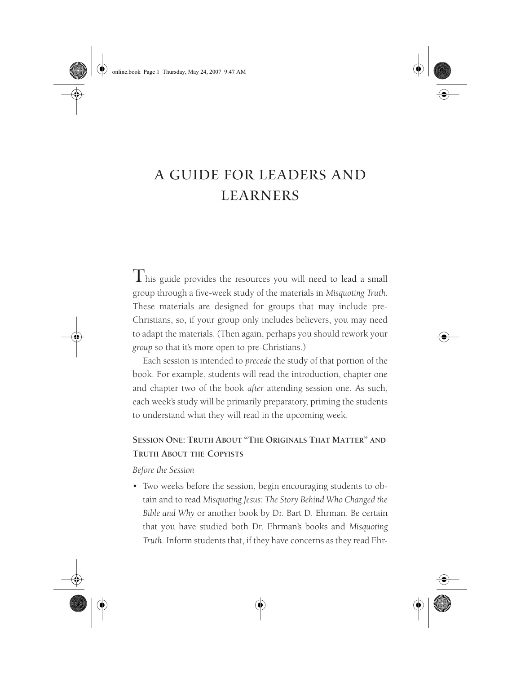# A GUIDE FOR LEADERS AND LEARNERS

This guide provides the resources you will need to lead a small group through a five-week study of the materials in *Misquoting Truth.* These materials are designed for groups that may include pre-Christians, so, if your group only includes believers, you may need to adapt the materials. (Then again, perhaps you should rework your *group* so that it's more open to pre-Christians.)

Each session is intended to *precede* the study of that portion of the book. For example, students will read the introduction, chapter one and chapter two of the book *after* attending session one. As such, each week's study will be primarily preparatory, priming the students to understand what they will read in the upcoming week.

## **SESSION ONE: TRUTH ABOUT "THE ORIGINALS THAT MATTER" AND TRUTH ABOUT THE COPYISTS**

*Before the Session*

• Two weeks before the session, begin encouraging students to obtain and to read *Misquoting Jesus: The Story Behind Who Changed the Bible and Why* or another book by Dr. Bart D. Ehrman. Be certain that you have studied both Dr. Ehrman's books and *Misquoting Truth*. Inform students that, if they have concerns as they read Ehr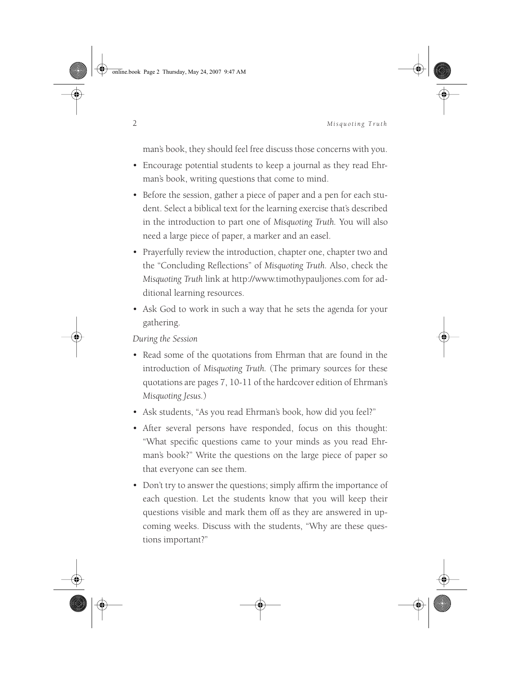online.book Page 2 Thursday, May 24, 2007 9:47 AM



#### 2 *Misquoting Truth*

man's book, they should feel free discuss those concerns with you.

- Encourage potential students to keep a journal as they read Ehrman's book, writing questions that come to mind.
- Before the session, gather a piece of paper and a pen for each student. Select a biblical text for the learning exercise that's described in the introduction to part one of *Misquoting Truth.* You will also need a large piece of paper, a marker and an easel.
- Prayerfully review the introduction, chapter one, chapter two and the "Concluding Reflections" of *Misquoting Truth.* Also, check the *Misquoting Truth* link at http://www.timothypauljones.com for additional learning resources.
- Ask God to work in such a way that he sets the agenda for your gathering.

- Read some of the quotations from Ehrman that are found in the introduction of *Misquoting Truth.* (The primary sources for these quotations are pages 7, 10-11 of the hardcover edition of Ehrman's *Misquoting Jesus.*)
- Ask students, "As you read Ehrman's book*,* how did you feel?"
- After several persons have responded, focus on this thought: "What specific questions came to your minds as you read Ehrman's book?" Write the questions on the large piece of paper so that everyone can see them.
- Don't try to answer the questions; simply affirm the importance of each question. Let the students know that you will keep their questions visible and mark them off as they are answered in upcoming weeks. Discuss with the students, "Why are these questions important?"

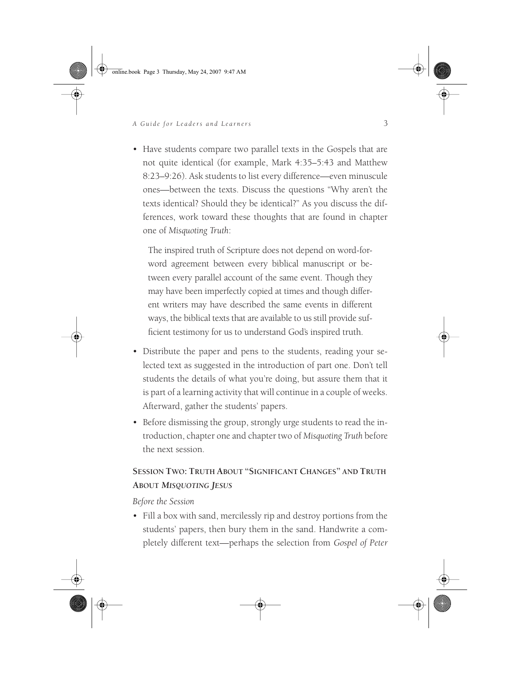online.book Page 3 Thursday, May 24, 2007 9:47 AM

#### *A Guide for Leaders and Learners* 3

• Have students compare two parallel texts in the Gospels that are not quite identical (for example, Mark 4:35–5:43 and Matthew 8:23–9:26). Ask students to list every difference—even minuscule ones—between the texts. Discuss the questions "Why aren't the texts identical? Should they be identical?" As you discuss the differences, work toward these thoughts that are found in chapter one of *Misquoting Truth*:

The inspired truth of Scripture does not depend on word-forword agreement between every biblical manuscript or between every parallel account of the same event. Though they may have been imperfectly copied at times and though different writers may have described the same events in different ways, the biblical texts that are available to us still provide sufficient testimony for us to understand God's inspired truth.

- Distribute the paper and pens to the students, reading your selected text as suggested in the introduction of part one. Don't tell students the details of what you're doing, but assure them that it is part of a learning activity that will continue in a couple of weeks. Afterward, gather the students' papers.
- Before dismissing the group, strongly urge students to read the introduction, chapter one and chapter two of *Misquoting Truth* before the next session.

## **SESSION TWO: TRUTH ABOUT "SIGNIFICANT CHANGES" AND TRUTH ABOUT** *MISQUOTING JESUS*

#### *Before the Session*

• Fill a box with sand, mercilessly rip and destroy portions from the students' papers, then bury them in the sand. Handwrite a completely different text—perhaps the selection from *Gospel of Peter*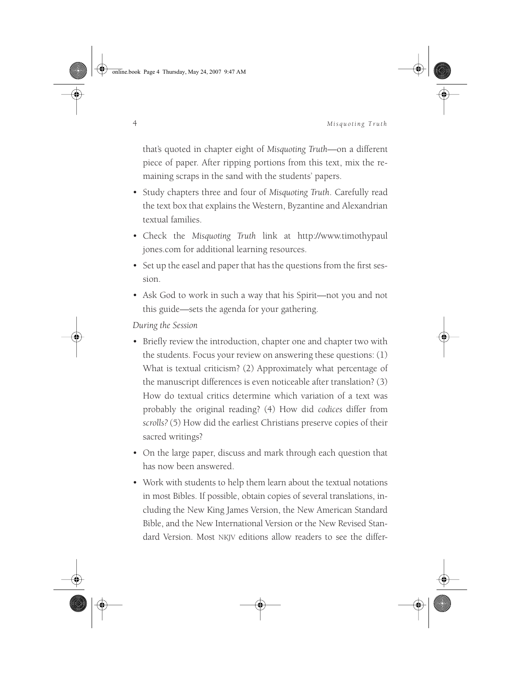online.book Page 4 Thursday, May 24, 2007 9:47 AM



#### 4 *Misquoting Truth*

that's quoted in chapter eight of *Misquoting Truth*—on a different piece of paper. After ripping portions from this text, mix the remaining scraps in the sand with the students' papers.

- Study chapters three and four of *Misquoting Truth*. Carefully read the text box that explains the Western, Byzantine and Alexandrian textual families.
- Check the *Misquoting Truth* link at http://www.timothypaul jones.com for additional learning resources.
- Set up the easel and paper that has the questions from the first session.
- Ask God to work in such a way that his Spirit—not you and not this guide—sets the agenda for your gathering.

- Briefly review the introduction, chapter one and chapter two with the students. Focus your review on answering these questions: (1) What is textual criticism? (2) Approximately what percentage of the manuscript differences is even noticeable after translation? (3) How do textual critics determine which variation of a text was probably the original reading? (4) How did *codices* differ from *scrolls?* (5) How did the earliest Christians preserve copies of their sacred writings?
- On the large paper, discuss and mark through each question that has now been answered.
- Work with students to help them learn about the textual notations in most Bibles. If possible, obtain copies of several translations, including the New King James Version, the New American Standard Bible, and the New International Version or the New Revised Standard Version. Most NKJV editions allow readers to see the differ-

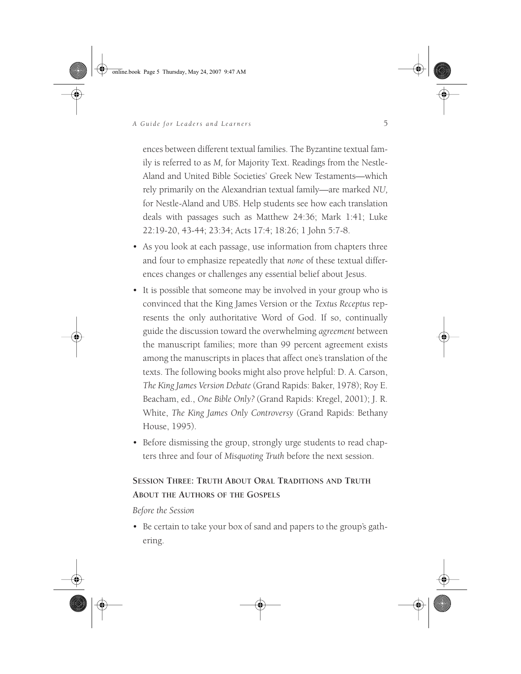online.book Page 5 Thursday, May 24, 2007 9:47 AM



#### *A Guide for Leaders and Learners* 5

ences between different textual families. The Byzantine textual family is referred to as *M,* for Majority Text. Readings from the Nestle-Aland and United Bible Societies' Greek New Testaments—which rely primarily on the Alexandrian textual family—are marked *NU,* for Nestle-Aland and UBS. Help students see how each translation deals with passages such as Matthew 24:36; Mark 1:41; Luke 22:19-20, 43-44; 23:34; Acts 17:4; 18:26; 1 John 5:7-8.

- As you look at each passage, use information from chapters three and four to emphasize repeatedly that *none* of these textual differences changes or challenges any essential belief about Jesus.
- It is possible that someone may be involved in your group who is convinced that the King James Version or the *Textus Receptus* represents the only authoritative Word of God. If so, continually guide the discussion toward the overwhelming *agreement* between the manuscript families; more than 99 percent agreement exists among the manuscripts in places that affect one's translation of the texts. The following books might also prove helpful: D. A. Carson, *The King James Version Debate* (Grand Rapids: Baker, 1978); Roy E. Beacham, ed., *One Bible Only?* (Grand Rapids: Kregel, 2001); J. R. White, *The King James Only Controversy* (Grand Rapids: Bethany House, 1995).
- Before dismissing the group, strongly urge students to read chapters three and four of *Misquoting Truth* before the next session.

## **SESSION THREE: TRUTH ABOUT ORAL TRADITIONS AND TRUTH ABOUT THE AUTHORS OF THE GOSPELS**

*Before the Session*

• Be certain to take your box of sand and papers to the group's gathering.

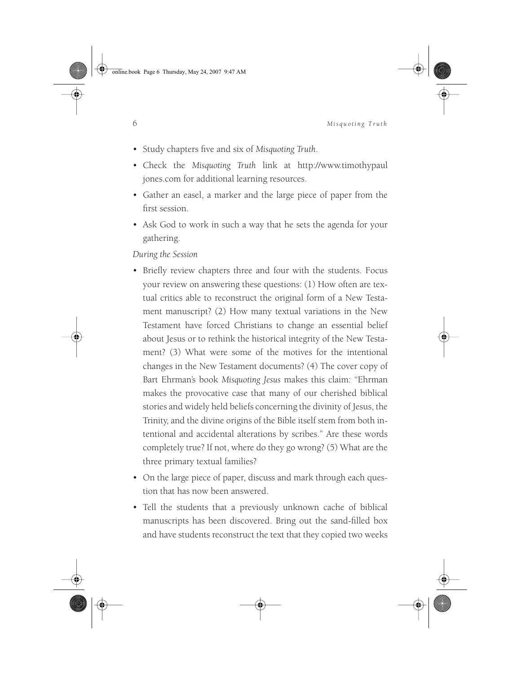online.book Page 6 Thursday, May 24, 2007 9:47 AM

6 *Misquoting Truth*

- Study chapters five and six of *Misquoting Truth*.
- Check the *Misquoting Truth* link at http://www.timothypaul jones.com for additional learning resources.
- Gather an easel, a marker and the large piece of paper from the first session.
- Ask God to work in such a way that he sets the agenda for your gathering.

- Briefly review chapters three and four with the students. Focus your review on answering these questions: (1) How often are textual critics able to reconstruct the original form of a New Testament manuscript? (2) How many textual variations in the New Testament have forced Christians to change an essential belief about Jesus or to rethink the historical integrity of the New Testament? (3) What were some of the motives for the intentional changes in the New Testament documents? (4) The cover copy of Bart Ehrman's book *Misquoting Jesus* makes this claim: "Ehrman makes the provocative case that many of our cherished biblical stories and widely held beliefs concerning the divinity of Jesus, the Trinity, and the divine origins of the Bible itself stem from both intentional and accidental alterations by scribes." Are these words completely true? If not, where do they go wrong? (5) What are the three primary textual families?
- On the large piece of paper, discuss and mark through each question that has now been answered.
- Tell the students that a previously unknown cache of biblical manuscripts has been discovered. Bring out the sand-filled box and have students reconstruct the text that they copied two weeks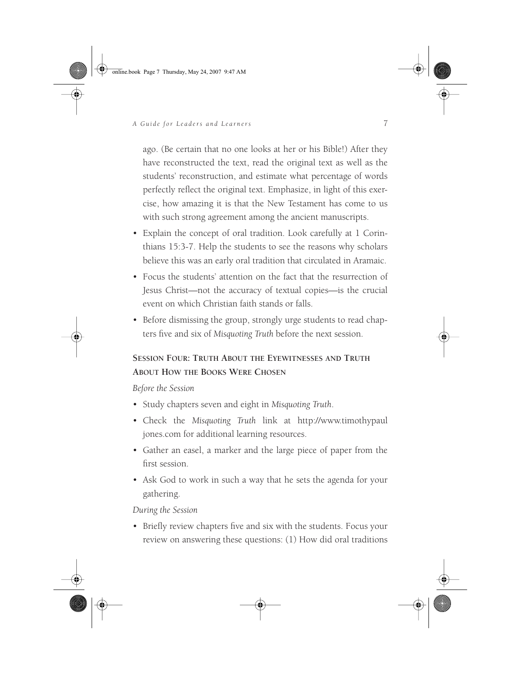online.book Page 7 Thursday, May 24, 2007 9:47 AM



### *A Guide for Leaders and Learners* 7

ago. (Be certain that no one looks at her or his Bible!) After they have reconstructed the text, read the original text as well as the students' reconstruction, and estimate what percentage of words perfectly reflect the original text. Emphasize, in light of this exercise, how amazing it is that the New Testament has come to us with such strong agreement among the ancient manuscripts.

- Explain the concept of oral tradition. Look carefully at 1 Corinthians 15:3-7. Help the students to see the reasons why scholars believe this was an early oral tradition that circulated in Aramaic.
- Focus the students' attention on the fact that the resurrection of Jesus Christ—not the accuracy of textual copies—is the crucial event on which Christian faith stands or falls.
- Before dismissing the group, strongly urge students to read chapters five and six of *Misquoting Truth* before the next session.

### **SESSION FOUR: TRUTH ABOUT THE EYEWITNESSES AND TRUTH ABOUT HOW THE BOOKS WERE CHOSEN**

#### *Before the Session*

- Study chapters seven and eight in *Misquoting Truth*.
- Check the *Misquoting Truth* link at http://www.timothypaul jones.com for additional learning resources.
- Gather an easel, a marker and the large piece of paper from the first session.
- Ask God to work in such a way that he sets the agenda for your gathering.

#### *During the Session*

• Briefly review chapters five and six with the students. Focus your review on answering these questions: (1) How did oral traditions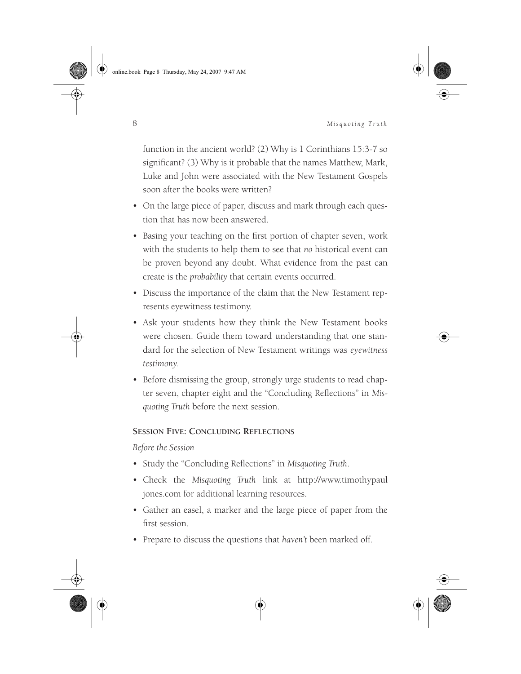online.book Page 8 Thursday, May 24, 2007 9:47 AM



#### 8 *Misquoting Truth*

function in the ancient world? (2) Why is 1 Corinthians 15:3-7 so significant? (3) Why is it probable that the names Matthew, Mark, Luke and John were associated with the New Testament Gospels soon after the books were written?

- On the large piece of paper, discuss and mark through each question that has now been answered.
- Basing your teaching on the first portion of chapter seven, work with the students to help them to see that *no* historical event can be proven beyond any doubt. What evidence from the past can create is the *probability* that certain events occurred.
- Discuss the importance of the claim that the New Testament represents eyewitness testimony.
- Ask your students how they think the New Testament books were chosen. Guide them toward understanding that one standard for the selection of New Testament writings was *eyewitness testimony*.
- Before dismissing the group, strongly urge students to read chapter seven, chapter eight and the "Concluding Reflections" in *Misquoting Truth* before the next session.

#### **SESSION FIVE: CONCLUDING REFLECTIONS**

*Before the Session*

- Study the "Concluding Reflections" in *Misquoting Truth*.
- Check the *Misquoting Truth* link at http://www.timothypaul jones.com for additional learning resources.
- Gather an easel, a marker and the large piece of paper from the first session.
- Prepare to discuss the questions that *haven't* been marked off.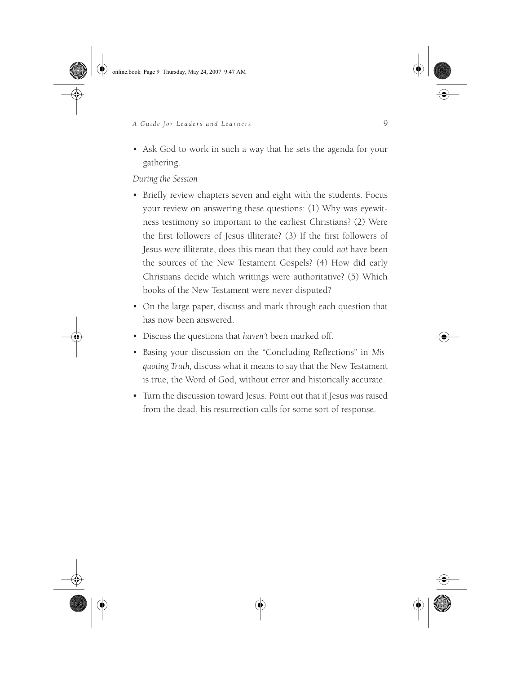online.book Page 9 Thursday, May 24, 2007 9:47 AM

#### *A Guide for Leaders and Learners* 9

• Ask God to work in such a way that he sets the agenda for your gathering.

- Briefly review chapters seven and eight with the students. Focus your review on answering these questions: (1) Why was eyewitness testimony so important to the earliest Christians? (2) Were the first followers of Jesus illiterate? (3) If the first followers of Jesus *were* illiterate, does this mean that they could *not* have been the sources of the New Testament Gospels? (4) How did early Christians decide which writings were authoritative? (5) Which books of the New Testament were never disputed?
- On the large paper, discuss and mark through each question that has now been answered.
- Discuss the questions that *haven't* been marked off.
- Basing your discussion on the "Concluding Reflections" in *Misquoting Truth,* discuss what it means to say that the New Testament is true, the Word of God, without error and historically accurate.
- Turn the discussion toward Jesus. Point out that if Jesus *was* raised from the dead, his resurrection calls for some sort of response.

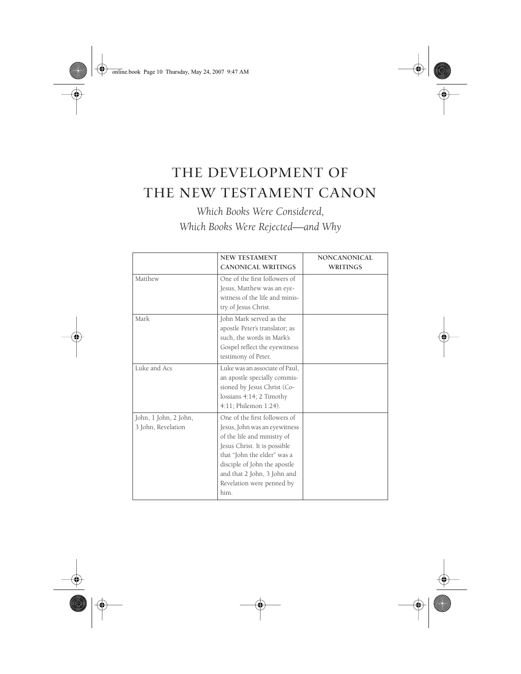♦ online.book Page 10 Thursday, May 24, 2007 9:47 AM

⊕

# THE DEVELOPMENT OF THE NEW TESTAMENT CANON

*Which Books Were Considered, Which Books Were Rejected—and Why*

|                                             | <b>NEW TESTAMENT</b><br><b>CANONICAL WRITINGS</b>                                                                                                                                                                                                                | <b>NONCANONICAL</b><br><b>WRITINGS</b> |
|---------------------------------------------|------------------------------------------------------------------------------------------------------------------------------------------------------------------------------------------------------------------------------------------------------------------|----------------------------------------|
| Matthew                                     | One of the first followers of<br>Jesus, Matthew was an eye-<br>witness of the life and minis-<br>try of Jesus Christ.                                                                                                                                            |                                        |
| Mark                                        | John Mark served as the<br>apostle Peter's translator; as<br>such, the words in Mark's<br>Gospel reflect the eyewitness<br>testimony of Peter.                                                                                                                   |                                        |
| Luke and Acs                                | Luke was an associate of Paul.<br>an apostle specially commis-<br>sioned by Jesus Christ (Co-<br>lossians 4:14; 2 Timothy<br>4:11; Philemon 1:24).                                                                                                               |                                        |
| John, 1 John, 2 John,<br>3 John, Revelation | One of the first followers of<br>Jesus, John was an eyewitness<br>of the life and ministry of<br>Jesus Christ. It is possible<br>that "John the elder" was a<br>disciple of John the apostle<br>and that 2 John, 3 John and<br>Revelation were penned by<br>him. |                                        |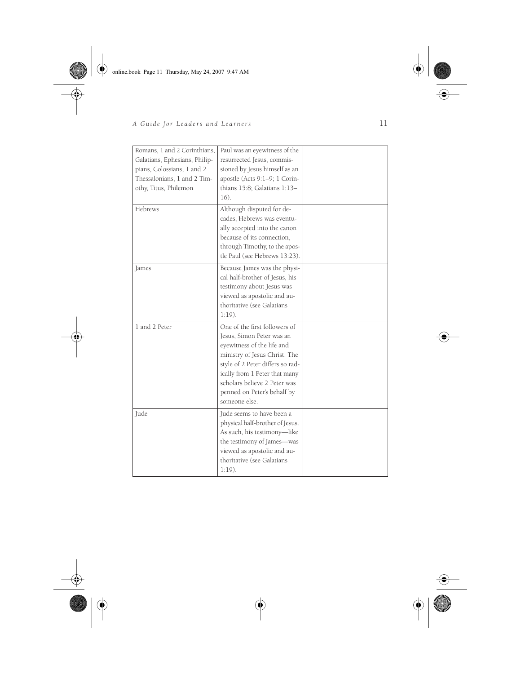$\bigcirc$  online.book Page 11 Thursday, May 24, 2007 9:47 AM

**STAR** 

 $\overline{\rightarrow}$ 



# *A Guide for Leaders and Learners* 11

| Romans, 1 and 2 Corinthians,<br>Galatians, Ephesians, Philip-<br>pians, Colossians, 1 and 2<br>Thessalonians, 1 and 2 Tim-<br>othy, Titus, Philemon | Paul was an eyewitness of the<br>resurrected Jesus, commis-<br>sioned by Jesus himself as an<br>apostle (Acts 9:1-9; 1 Corin-<br>thians 15:8; Galatians 1:13-<br>16).                                                                                                          |  |
|-----------------------------------------------------------------------------------------------------------------------------------------------------|--------------------------------------------------------------------------------------------------------------------------------------------------------------------------------------------------------------------------------------------------------------------------------|--|
| Hebrews                                                                                                                                             | Although disputed for de-<br>cades, Hebrews was eventu-<br>ally accepted into the canon<br>because of its connection.<br>through Timothy, to the apos-<br>tle Paul (see Hebrews 13:23).                                                                                        |  |
| James                                                                                                                                               | Because James was the physi-<br>cal half-brother of Jesus, his<br>testimony about Jesus was<br>viewed as apostolic and au-<br>thoritative (see Galatians<br>$1:19$ ).                                                                                                          |  |
| 1 and 2 Peter                                                                                                                                       | One of the first followers of<br>Jesus, Simon Peter was an<br>eyewitness of the life and<br>ministry of Jesus Christ. The<br>style of 2 Peter differs so rad-<br>ically from 1 Peter that many<br>scholars believe 2 Peter was<br>penned on Peter's behalf by<br>someone else. |  |
| Jude                                                                                                                                                | Jude seems to have been a<br>physical half-brother of Jesus.<br>As such, his testimony-like<br>the testimony of James-was<br>viewed as apostolic and au-<br>thoritative (see Galatians<br>$1:19$ ).                                                                            |  |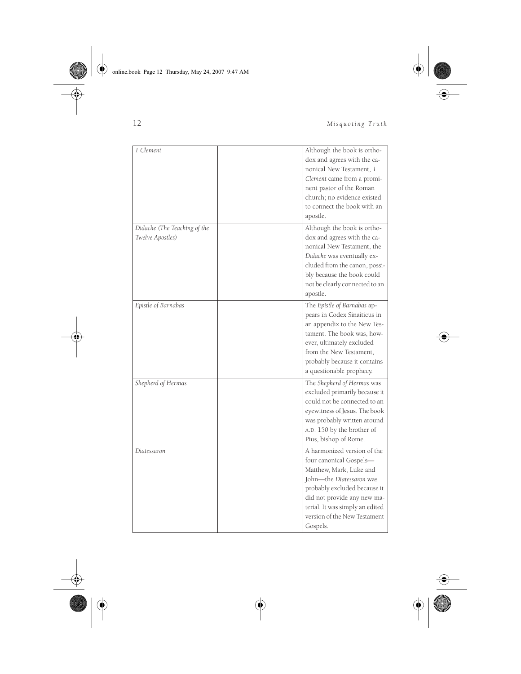Online.book Page 12 Thursday, May 24, 2007 9:47 AM



 $\overline{\mathbf{C}}$ 

12 *Misquoting Truth*

 $\frac{1}{2}$ 

| 1 Clement                                        | Although the book is ortho-<br>dox and agrees with the ca-<br>nonical New Testament, 1<br>Clement came from a promi-<br>nent pastor of the Roman<br>church; no evidence existed<br>to connect the book with an<br>apostle.                                  |
|--------------------------------------------------|-------------------------------------------------------------------------------------------------------------------------------------------------------------------------------------------------------------------------------------------------------------|
| Didache (The Teaching of the<br>Twelve Apostles) | Although the book is ortho-<br>dox and agrees with the ca-<br>nonical New Testament, the<br>Didache was eventually ex-<br>cluded from the canon, possi-<br>bly because the book could<br>not be clearly connected to an<br>apostle.                         |
| Epistle of Barnabas                              | The Epistle of Barnabas ap-<br>pears in Codex Sinaiticus in<br>an appendix to the New Tes-<br>tament. The book was, how-<br>ever, ultimately excluded<br>from the New Testament.<br>probably because it contains<br>a questionable prophecy.                |
| Shepherd of Hermas                               | The Shepherd of Hermas was<br>excluded primarily because it<br>could not be connected to an<br>eyewitness of Jesus. The book<br>was probably written around<br>A.D. 150 by the brother of<br>Pius, bishop of Rome.                                          |
| Diatessaron                                      | A harmonized version of the<br>four canonical Gospels—<br>Matthew, Mark, Luke and<br>John-the Diatessaron was<br>probably excluded because it<br>did not provide any new ma-<br>terial. It was simply an edited<br>version of the New Testament<br>Gospels. |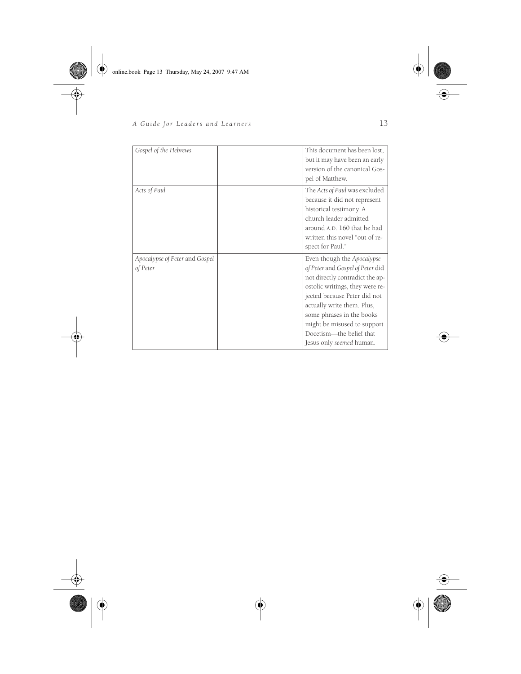online.book Page 13 Thursday, May 24, 2007 9:47 AM

**STAR** 

 $\overline{\bigoplus}$ 

# *A Guide for Leaders and Learners* 13

| Gospel of the Hebrews                      | This document has been lost,<br>but it may have been an early<br>version of the canonical Gos-<br>pel of Matthew.                                                                                                                                                                                                      |
|--------------------------------------------|------------------------------------------------------------------------------------------------------------------------------------------------------------------------------------------------------------------------------------------------------------------------------------------------------------------------|
| Acts of Paul                               | The Acts of Paul was excluded<br>because it did not represent<br>historical testimony. A<br>church leader admitted<br>around A.D. 160 that he had<br>written this novel "out of re-<br>spect for Paul."                                                                                                                |
| Apocalypse of Peter and Gospel<br>of Peter | Even though the Apocalypse<br>of Peter and Gospel of Peter did<br>not directly contradict the ap-<br>ostolic writings, they were re-<br>jected because Peter did not<br>actually write them. Plus,<br>some phrases in the books<br>might be misused to support<br>Docetism-the belief that<br>Jesus only seemed human. |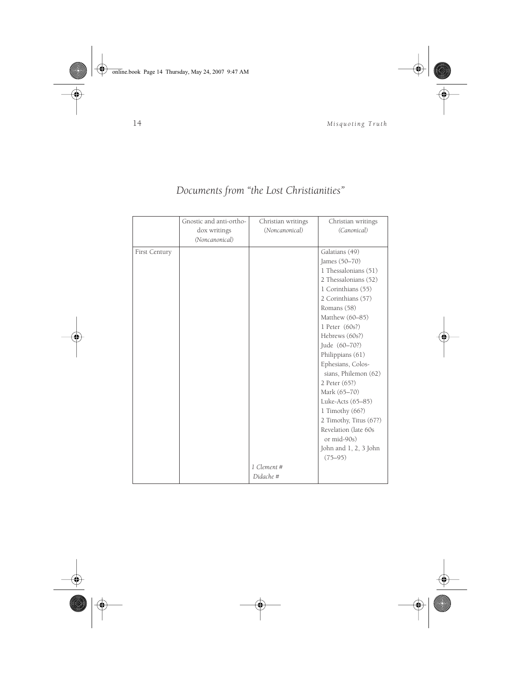

# *Documents from "the Lost Christianities"*

|                      | Gnostic and anti-ortho- | Christian writings | Christian writings     |
|----------------------|-------------------------|--------------------|------------------------|
|                      | dox writings            | (Noncanonical)     | (Canonical)            |
|                      | (Noncanonical)          |                    |                        |
| <b>First Century</b> |                         |                    | Galatians (49)         |
|                      |                         |                    | James (50-70)          |
|                      |                         |                    | 1 Thessalonians (51)   |
|                      |                         |                    | 2 Thessalonians (52)   |
|                      |                         |                    | 1 Corinthians (55)     |
|                      |                         |                    | 2 Corinthians (57)     |
|                      |                         |                    | Romans (58)            |
|                      |                         |                    | Matthew (60-85)        |
|                      |                         |                    | 1 Peter $(60s?)$       |
|                      |                         |                    | Hebrews (60s?)         |
|                      |                         |                    | Jude (60-70?)          |
|                      |                         |                    | Philippians (61)       |
|                      |                         |                    | Ephesians, Colos-      |
|                      |                         |                    | sians, Philemon (62)   |
|                      |                         |                    | 2 Peter (65?)          |
|                      |                         |                    | Mark (65-70)           |
|                      |                         |                    | Luke-Acts (65-85)      |
|                      |                         |                    | 1 Timothy $(66?)$      |
|                      |                         |                    | 2 Timothy, Titus (67?) |
|                      |                         |                    | Revelation (late 60s   |
|                      |                         |                    | or mid-90s)            |
|                      |                         |                    | John and 1, 2, 3 John  |
|                      |                         |                    | $(75 - 95)$            |
|                      |                         | 1 Clement #        |                        |
|                      |                         | Didache #          |                        |